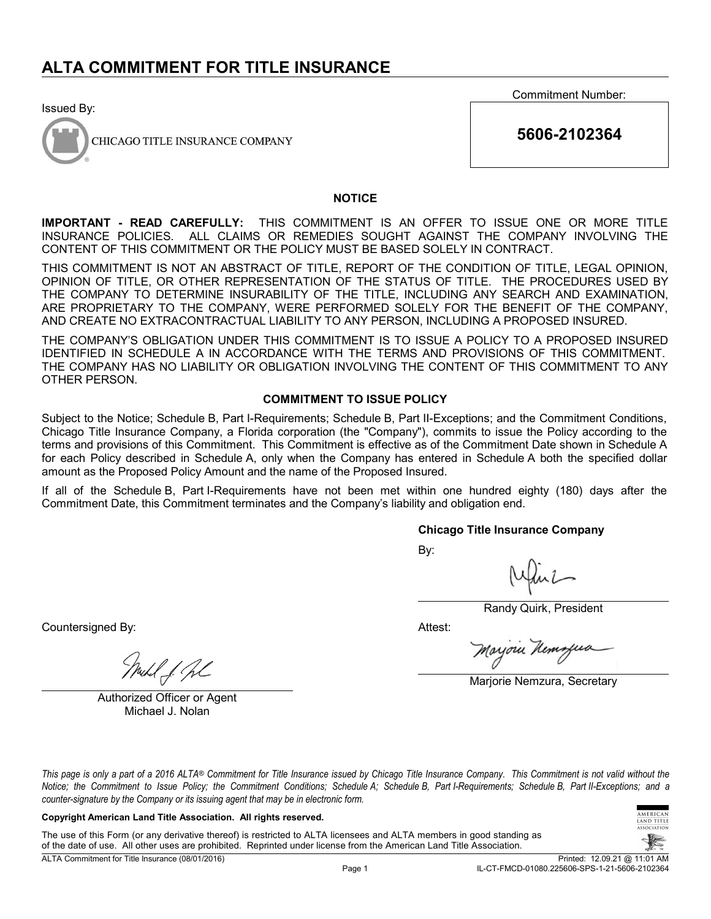Issued By:



CHICAGO TITLE INSURANCE COMPANY

Commitment Number:

**5606-2102364**

### **NOTICE**

**IMPORTANT - READ CAREFULLY:** THIS COMMITMENT IS AN OFFER TO ISSUE ONE OR MORE TITLE INSURANCE POLICIES. ALL CLAIMS OR REMEDIES SOUGHT AGAINST THE COMPANY INVOLVING THE CONTENT OF THIS COMMITMENT OR THE POLICY MUST BE BASED SOLELY IN CONTRACT.

THIS COMMITMENT IS NOT AN ABSTRACT OF TITLE, REPORT OF THE CONDITION OF TITLE, LEGAL OPINION, OPINION OF TITLE, OR OTHER REPRESENTATION OF THE STATUS OF TITLE. THE PROCEDURES USED BY THE COMPANY TO DETERMINE INSURABILITY OF THE TITLE, INCLUDING ANY SEARCH AND EXAMINATION, ARE PROPRIETARY TO THE COMPANY, WERE PERFORMED SOLELY FOR THE BENEFIT OF THE COMPANY, AND CREATE NO EXTRACONTRACTUAL LIABILITY TO ANY PERSON, INCLUDING A PROPOSED INSURED.

THE COMPANY'S OBLIGATION UNDER THIS COMMITMENT IS TO ISSUE A POLICY TO A PROPOSED INSURED IDENTIFIED IN SCHEDULE A IN ACCORDANCE WITH THE TERMS AND PROVISIONS OF THIS COMMITMENT. THE COMPANY HAS NO LIABILITY OR OBLIGATION INVOLVING THE CONTENT OF THIS COMMITMENT TO ANY OTHER PERSON.

### **COMMITMENT TO ISSUE POLICY**

Subject to the Notice; Schedule B, Part I-Requirements; Schedule B, Part II-Exceptions; and the Commitment Conditions, Chicago Title Insurance Company, a Florida corporation (the "Company"), commits to issue the Policy according to the terms and provisions of this Commitment. This Commitment is effective as of the Commitment Date shown in Schedule A for each Policy described in Schedule A, only when the Company has entered in Schedule A both the specified dollar amount as the Proposed Policy Amount and the name of the Proposed Insured.

If all of the Schedule B, Part I-Requirements have not been met within one hundred eighty (180) days after the Commitment Date, this Commitment terminates and the Company's liability and obligation end.

### **Chicago Title Insurance Company**

By:

Randy Quirk, President

Attest:

Moyoru Kemz

Marjorie Nemzura, Secretary

uhl f. fl

Countersigned By:

Authorized Officer or Agent Michael J. Nolan

*This page is only a part of a 2016 ALTA® Commitment for Title Insurance issued by Chicago Title Insurance Company. This Commitment is not valid without the Notice; the Commitment to Issue Policy; the Commitment Conditions; Schedule A; Schedule B, Part I-Requirements; Schedule B, Part II-Exceptions; and a counter-signature by the Company or its issuing agent that may be in electronic form.*

### **Copyright American Land Title Association. All rights reserved.**

The use of this Form (or any derivative thereof) is restricted to ALTA licensees and ALTA members in good standing as of the date of use. All other uses are prohibited. Reprinted under license from the American Land Title Association.

TITLE

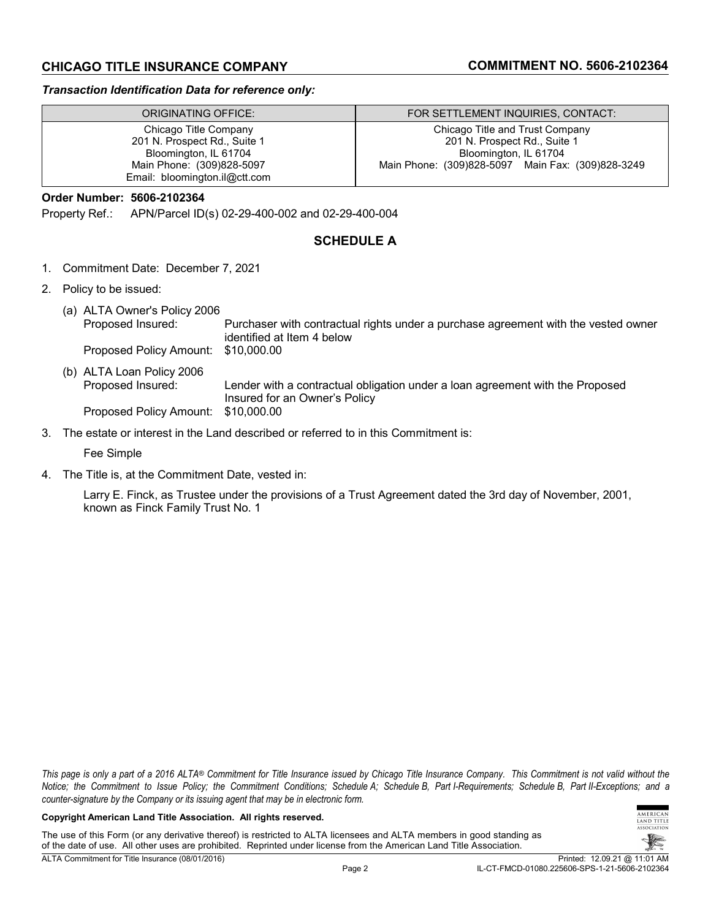# **CHICAGO TITLE INSURANCE COMPANY COMMITMENT NO. 5606-2102364**

### *Transaction Identification Data for reference only:*

| ORIGINATING OFFICE:           | FOR SETTLEMENT INQUIRIES, CONTACT:                |
|-------------------------------|---------------------------------------------------|
| Chicago Title Company         | Chicago Title and Trust Company                   |
| 201 N. Prospect Rd., Suite 1  | 201 N. Prospect Rd., Suite 1                      |
| Bloomington, IL 61704         | Bloomington, IL 61704                             |
| Main Phone: (309)828-5097     | Main Phone: (309)828-5097 Main Fax: (309)828-3249 |
| Email: bloomington.il@ctt.com |                                                   |

# **Order Number: 5606-2102364**

Property Ref.: APN/Parcel ID(s) 02-29-400-002 and 02-29-400-004

# **SCHEDULE A**

- 1. Commitment Date: December 7, 2021
- 2. Policy to be issued:
	- (a) ALTA Owner's Policy 2006 Proposed Insured: Purchaser with contractual rights under a purchase agreement with the vested owner identified at Item 4 below<br>\$10,000.00 Proposed Policy Amount:
	- (b) ALTA Loan Policy 2006 Proposed Insured: Lender with a contractual obligation under a loan agreement with the Proposed Insured for an Owner's Policy Proposed Policy Amount: \$10,000.00
- 3. The estate or interest in the Land described or referred to in this Commitment is:

Fee Simple

4. The Title is, at the Commitment Date, vested in:

Larry E. Finck, as Trustee under the provisions of a Trust Agreement dated the 3rd day of November, 2001, known as Finck Family Trust No. 1

*This page is only a part of a 2016 ALTA® Commitment for Title Insurance issued by Chicago Title Insurance Company. This Commitment is not valid without the Notice; the Commitment to Issue Policy; the Commitment Conditions; Schedule A; Schedule B, Part I-Requirements; Schedule B, Part II-Exceptions; and a counter-signature by the Company or its issuing agent that may be in electronic form.*

#### **Copyright American Land Title Association. All rights reserved.**

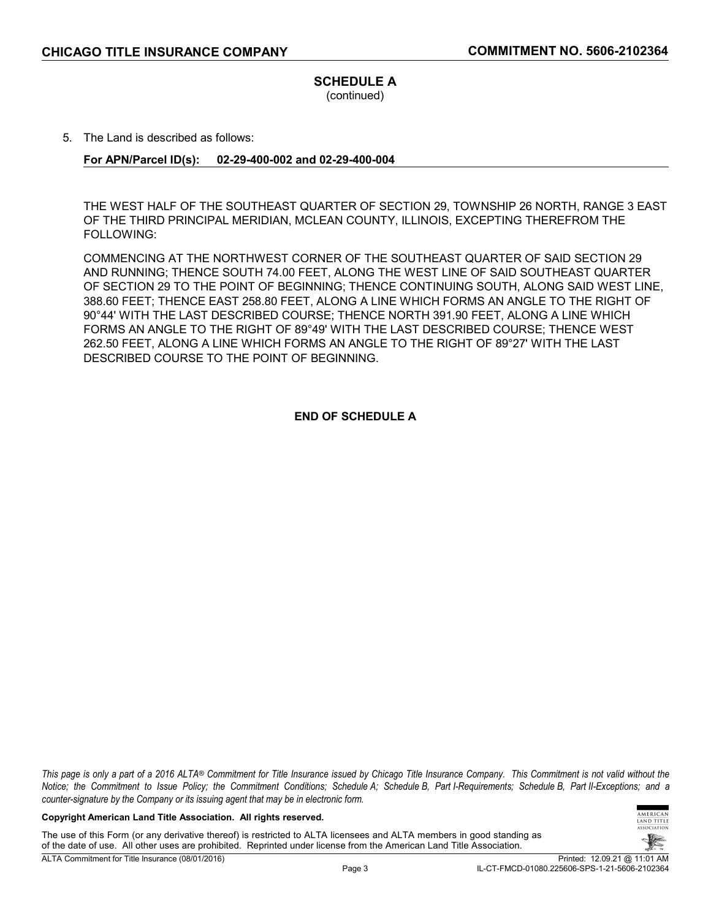# **SCHEDULE A**

(continued)

5. The Land is described as follows:

# **For APN/Parcel ID(s): 02-29-400-002 and 02-29-400-004**

THE WEST HALF OF THE SOUTHEAST QUARTER OF SECTION 29, TOWNSHIP 26 NORTH, RANGE 3 EAST OF THE THIRD PRINCIPAL MERIDIAN, MCLEAN COUNTY, ILLINOIS, EXCEPTING THEREFROM THE FOLLOWING:

COMMENCING AT THE NORTHWEST CORNER OF THE SOUTHEAST QUARTER OF SAID SECTION 29 AND RUNNING; THENCE SOUTH 74.00 FEET, ALONG THE WEST LINE OF SAID SOUTHEAST QUARTER OF SECTION 29 TO THE POINT OF BEGINNING; THENCE CONTINUING SOUTH, ALONG SAID WEST LINE, 388.60 FEET; THENCE EAST 258.80 FEET, ALONG A LINE WHICH FORMS AN ANGLE TO THE RIGHT OF 90°44' WITH THE LAST DESCRIBED COURSE; THENCE NORTH 391.90 FEET, ALONG A LINE WHICH FORMS AN ANGLE TO THE RIGHT OF 89°49' WITH THE LAST DESCRIBED COURSE; THENCE WEST 262.50 FEET, ALONG A LINE WHICH FORMS AN ANGLE TO THE RIGHT OF 89°27' WITH THE LAST DESCRIBED COURSE TO THE POINT OF BEGINNING.

**END OF SCHEDULE A**

*This page is only a part of a 2016 ALTA® Commitment for Title Insurance issued by Chicago Title Insurance Company. This Commitment is not valid without the Notice; the Commitment to Issue Policy; the Commitment Conditions; Schedule A; Schedule B, Part I-Requirements; Schedule B, Part II-Exceptions; and a counter-signature by the Company or its issuing agent that may be in electronic form.*

#### **Copyright American Land Title Association. All rights reserved.**

The use of this Form (or any derivative thereof) is restricted to ALTA licensees and ALTA members in good standing as of the date of use. All other uses are prohibited. Reprinted under license from the American Land Title Association.

**MERICAN** AND TITLE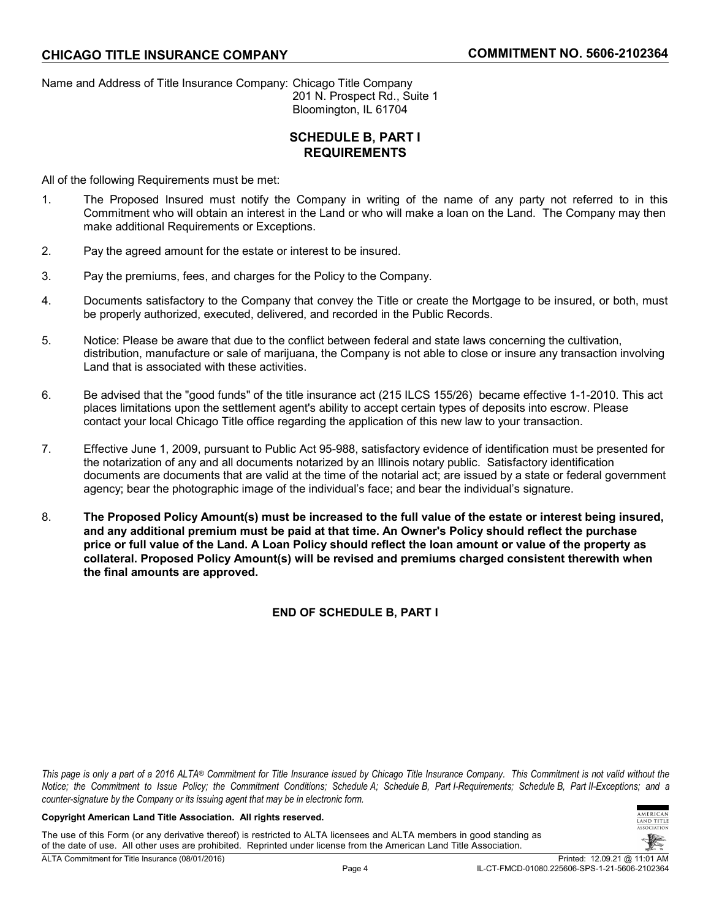Name and Address of Title Insurance Company: Chicago Title Company 201 N. Prospect Rd., Suite 1 Bloomington, IL 61704

# **SCHEDULE B, PART I REQUIREMENTS**

All of the following Requirements must be met:

- 1. The Proposed Insured must notify the Company in writing of the name of any party not referred to in this Commitment who will obtain an interest in the Land or who will make a loan on the Land. The Company may then make additional Requirements or Exceptions.
- 2. Pay the agreed amount for the estate or interest to be insured.
- 3. Pay the premiums, fees, and charges for the Policy to the Company.
- 4. Documents satisfactory to the Company that convey the Title or create the Mortgage to be insured, or both, must be properly authorized, executed, delivered, and recorded in the Public Records.
- 5. Notice: Please be aware that due to the conflict between federal and state laws concerning the cultivation, distribution, manufacture or sale of marijuana, the Company is not able to close or insure any transaction involving Land that is associated with these activities.
- 6. Be advised that the "good funds" of the title insurance act (215 ILCS 155/26) became effective 1-1-2010. This act places limitations upon the settlement agent's ability to accept certain types of deposits into escrow. Please contact your local Chicago Title office regarding the application of this new law to your transaction.
- 7. Effective June 1, 2009, pursuant to Public Act 95-988, satisfactory evidence of identification must be presented for the notarization of any and all documents notarized by an Illinois notary public. Satisfactory identification documents are documents that are valid at the time of the notarial act; are issued by a state or federal government agency; bear the photographic image of the individual's face; and bear the individual's signature.
- 8. **The Proposed Policy Amount(s) must be increased to the full value of the estate or interest being insured, and any additional premium must be paid at that time. An Owner's Policy should reflect the purchase price or full value of the Land. A Loan Policy should reflect the loan amount or value of the property as collateral. Proposed Policy Amount(s) will be revised and premiums charged consistent therewith when the final amounts are approved.**

**END OF SCHEDULE B, PART I**

*This page is only a part of a 2016 ALTA® Commitment for Title Insurance issued by Chicago Title Insurance Company. This Commitment is not valid without the Notice; the Commitment to Issue Policy; the Commitment Conditions; Schedule A; Schedule B, Part I-Requirements; Schedule B, Part II-Exceptions; and a counter-signature by the Company or its issuing agent that may be in electronic form.*

### **Copyright American Land Title Association. All rights reserved.**

The use of this Form (or any derivative thereof) is restricted to ALTA licensees and ALTA members in good standing as of the date of use. All other uses are prohibited. Reprinted under license from the American Land Title Association.



**MERICAN** TITLE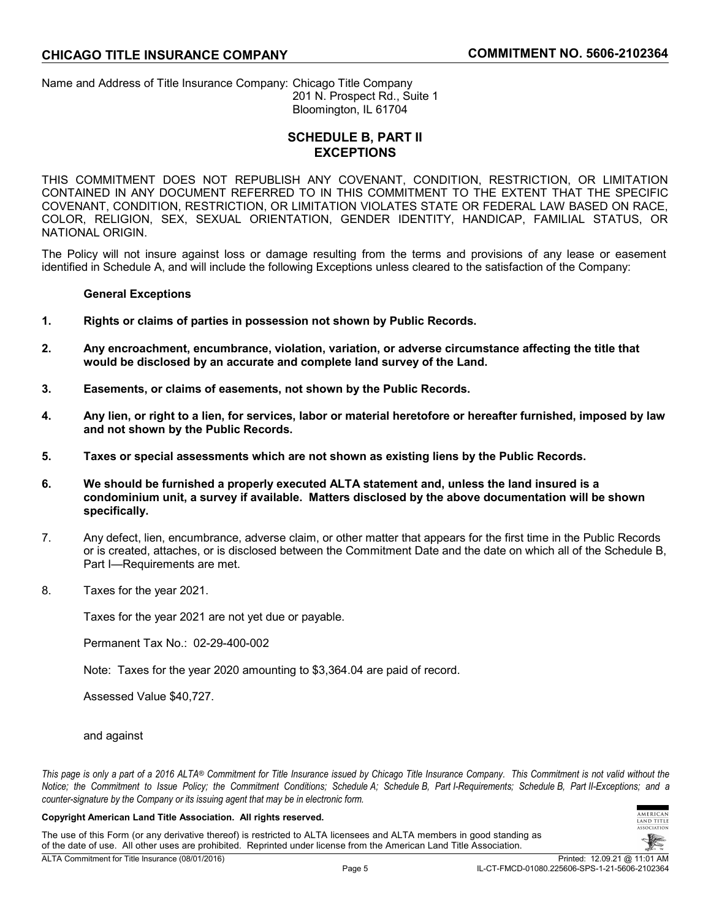Name and Address of Title Insurance Company: Chicago Title Company 201 N. Prospect Rd., Suite 1 Bloomington, IL 61704

# **SCHEDULE B, PART II EXCEPTIONS**

THIS COMMITMENT DOES NOT REPUBLISH ANY COVENANT, CONDITION, RESTRICTION, OR LIMITATION CONTAINED IN ANY DOCUMENT REFERRED TO IN THIS COMMITMENT TO THE EXTENT THAT THE SPECIFIC COVENANT, CONDITION, RESTRICTION, OR LIMITATION VIOLATES STATE OR FEDERAL LAW BASED ON RACE, COLOR, RELIGION, SEX, SEXUAL ORIENTATION, GENDER IDENTITY, HANDICAP, FAMILIAL STATUS, OR NATIONAL ORIGIN.

The Policy will not insure against loss or damage resulting from the terms and provisions of any lease or easement identified in Schedule A, and will include the following Exceptions unless cleared to the satisfaction of the Company:

### **General Exceptions**

- **1. Rights or claims of parties in possession not shown by Public Records.**
- **2. Any encroachment, encumbrance, violation, variation, or adverse circumstance affecting the title that would be disclosed by an accurate and complete land survey of the Land.**
- **3. Easements, or claims of easements, not shown by the Public Records.**
- **4. Any lien, or right to a lien, for services, labor or material heretofore or hereafter furnished, imposed by law and not shown by the Public Records.**
- **5. Taxes or special assessments which are not shown as existing liens by the Public Records.**
- **6. We should be furnished a properly executed ALTA statement and, unless the land insured is a condominium unit, a survey if available. Matters disclosed by the above documentation will be shown specifically.**
- 7. Any defect, lien, encumbrance, adverse claim, or other matter that appears for the first time in the Public Records or is created, attaches, or is disclosed between the Commitment Date and the date on which all of the Schedule B, Part I—Requirements are met.
- 8. Taxes for the year 2021.

Taxes for the year 2021 are not yet due or payable.

Permanent Tax No.: 02-29-400-002

Note: Taxes for the year 2020 amounting to \$3,364.04 are paid of record.

Assessed Value \$40,727.

### and against

*This page is only a part of a 2016 ALTA® Commitment for Title Insurance issued by Chicago Title Insurance Company. This Commitment is not valid without the Notice; the Commitment to Issue Policy; the Commitment Conditions; Schedule A; Schedule B, Part I-Requirements; Schedule B, Part II-Exceptions; and a counter-signature by the Company or its issuing agent that may be in electronic form.*

#### **Copyright American Land Title Association. All rights reserved.**

The use of this Form (or any derivative thereof) is restricted to ALTA licensees and ALTA members in good standing as of the date of use. All other uses are prohibited. Reprinted under license from the American Land Title Association.



**MERICAN** AND TITLE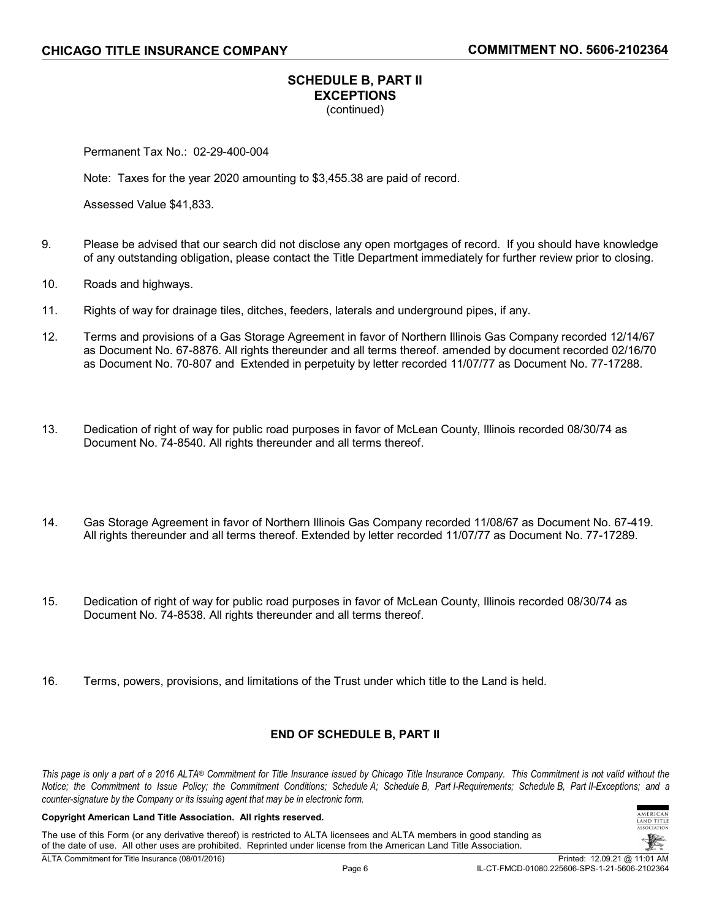# **SCHEDULE B, PART II EXCEPTIONS** (continued)

Permanent Tax No.: 02-29-400-004

Note: Taxes for the year 2020 amounting to \$3,455.38 are paid of record.

Assessed Value \$41,833.

- 9. Please be advised that our search did not disclose any open mortgages of record. If you should have knowledge of any outstanding obligation, please contact the Title Department immediately for further review prior to closing.
- 10. Roads and highways.
- 11. Rights of way for drainage tiles, ditches, feeders, laterals and underground pipes, if any.
- 12. Terms and provisions of a Gas Storage Agreement in favor of Northern Illinois Gas Company recorded 12/14/67 as Document No. 67-8876. All rights thereunder and all terms thereof. amended by document recorded 02/16/70 as Document No. 70-807 and Extended in perpetuity by letter recorded 11/07/77 as Document No. 77-17288.
- 13. Dedication of right of way for public road purposes in favor of McLean County, Illinois recorded 08/30/74 as Document No. 74-8540. All rights thereunder and all terms thereof.
- 14. Gas Storage Agreement in favor of Northern Illinois Gas Company recorded 11/08/67 as Document No. 67-419. All rights thereunder and all terms thereof. Extended by letter recorded 11/07/77 as Document No. 77-17289.
- 15. Dedication of right of way for public road purposes in favor of McLean County, Illinois recorded 08/30/74 as Document No. 74-8538. All rights thereunder and all terms thereof.
- 16. Terms, powers, provisions, and limitations of the Trust under which title to the Land is held.

### **END OF SCHEDULE B, PART II**

*This page is only a part of a 2016 ALTA® Commitment for Title Insurance issued by Chicago Title Insurance Company. This Commitment is not valid without the Notice; the Commitment to Issue Policy; the Commitment Conditions; Schedule A; Schedule B, Part I-Requirements; Schedule B, Part II-Exceptions; and a counter-signature by the Company or its issuing agent that may be in electronic form.*

### **Copyright American Land Title Association. All rights reserved.**

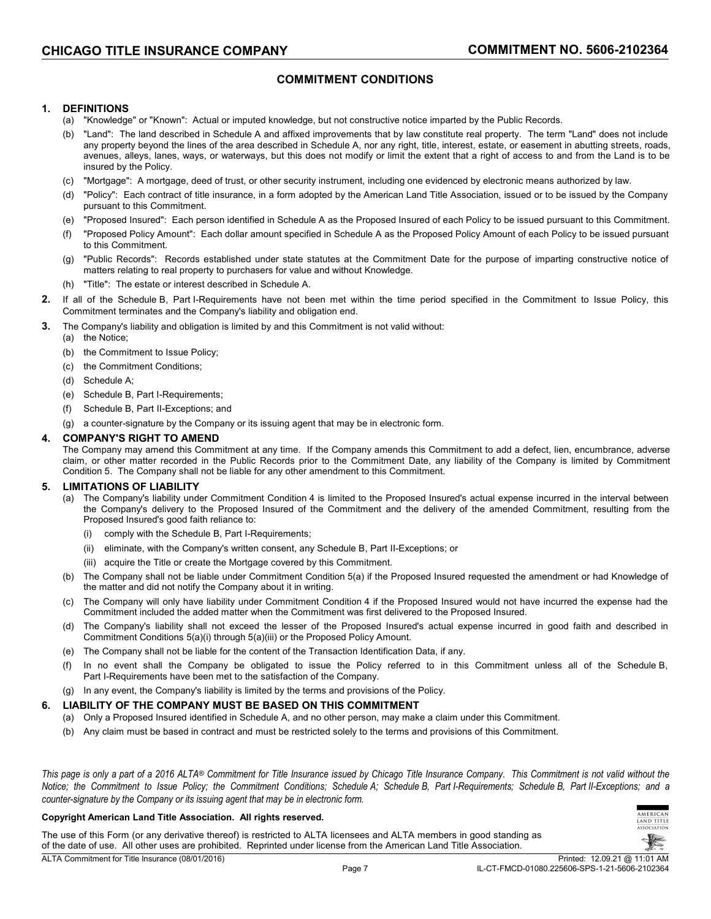# **COMMITMENT CONDITIONS**

### **1. DEFINITIONS**

- (a) "Knowledge" or "Known": Actual or imputed knowledge, but not constructive notice imparted by the Public Records.
- (b) "Land": The land described in Schedule A and affixed improvements that by law constitute real property. The term "Land" does not include any property beyond the lines of the area described in Schedule A, nor any right, title, interest, estate, or easement in abutting streets, roads, avenues, alleys, lanes, ways, or waterways, but this does not modify or limit the extent that a right of access to and from the Land is to be insured by the Policy.
- (c) "Mortgage": A mortgage, deed of trust, or other security instrument, including one evidenced by electronic means authorized by law.
- (d) "Policy": Each contract of title insurance, in a form adopted by the American Land Title Association, issued or to be issued by the Company pursuant to this Commitment.
- (e) "Proposed Insured": Each person identified in Schedule A as the Proposed Insured of each Policy to be issued pursuant to this Commitment.
- (f) "Proposed Policy Amount": Each dollar amount specified in Schedule A as the Proposed Policy Amount of each Policy to be issued pursuant to this Commitment.
- (g) "Public Records": Records established under state statutes at the Commitment Date for the purpose of imparting constructive notice of matters relating to real property to purchasers for value and without Knowledge.
- (h) "Title": The estate or interest described in Schedule A.
- **2.** If all of the Schedule B, Part I-Requirements have not been met within the time period specified in the Commitment to Issue Policy, this Commitment terminates and the Company's liability and obligation end.
- **3.** The Company's liability and obligation is limited by and this Commitment is not valid without:
- (a) the Notice;
	- (b) the Commitment to Issue Policy;
	- (c) the Commitment Conditions;
	- (d) Schedule A;
	- (e) Schedule B, Part I-Requirements;
	- (f) Schedule B, Part II-Exceptions; and
	- (g) a counter-signature by the Company or its issuing agent that may be in electronic form.

### **4. COMPANY'S RIGHT TO AMEND**

The Company may amend this Commitment at any time. If the Company amends this Commitment to add a defect, lien, encumbrance, adverse claim, or other matter recorded in the Public Records prior to the Commitment Date, any liability of the Company is limited by Commitment Condition 5. The Company shall not be liable for any other amendment to this Commitment.

### **5. LIMITATIONS OF LIABILITY**

- (a) The Company's liability under Commitment Condition 4 is limited to the Proposed Insured's actual expense incurred in the interval between the Company's delivery to the Proposed Insured of the Commitment and the delivery of the amended Commitment, resulting from the Proposed Insured's good faith reliance to:
	- (i) comply with the Schedule B, Part I-Requirements;
	- (ii) eliminate, with the Company's written consent, any Schedule B, Part II-Exceptions; or
	- (iii) acquire the Title or create the Mortgage covered by this Commitment.
- (b) The Company shall not be liable under Commitment Condition 5(a) if the Proposed Insured requested the amendment or had Knowledge of the matter and did not notify the Company about it in writing.
- (c) The Company will only have liability under Commitment Condition 4 if the Proposed Insured would not have incurred the expense had the Commitment included the added matter when the Commitment was first delivered to the Proposed Insured.
- (d) The Company's liability shall not exceed the lesser of the Proposed Insured's actual expense incurred in good faith and described in Commitment Conditions 5(a)(i) through 5(a)(iii) or the Proposed Policy Amount.
- (e) The Company shall not be liable for the content of the Transaction Identification Data, if any.
- (f) In no event shall the Company be obligated to issue the Policy referred to in this Commitment unless all of the Schedule B, Part I-Requirements have been met to the satisfaction of the Company.
- (g) In any event, the Company's liability is limited by the terms and provisions of the Policy.

### **6. LIABILITY OF THE COMPANY MUST BE BASED ON THIS COMMITMENT**

- (a) Only a Proposed Insured identified in Schedule A, and no other person, may make a claim under this Commitment.
- (b) Any claim must be based in contract and must be restricted solely to the terms and provisions of this Commitment.

*This page is only a part of a 2016 ALTA® Commitment for Title Insurance issued by Chicago Title Insurance Company. This Commitment is not valid without the Notice; the Commitment to Issue Policy; the Commitment Conditions; Schedule A; Schedule B, Part I-Requirements; Schedule B, Part II-Exceptions; and a counter-signature by the Company or its issuing agent that may be in electronic form.*

#### **Copyright American Land Title Association. All rights reserved.**

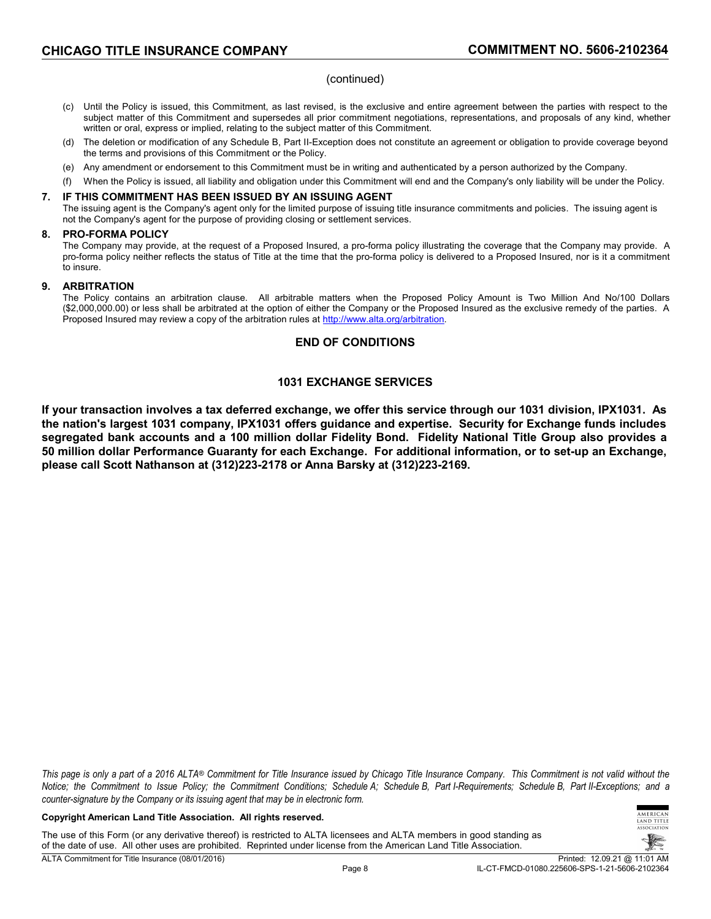### (continued)

- (c) Until the Policy is issued, this Commitment, as last revised, is the exclusive and entire agreement between the parties with respect to the subject matter of this Commitment and supersedes all prior commitment negotiations, representations, and proposals of any kind, whether written or oral, express or implied, relating to the subject matter of this Commitment.
- (d) The deletion or modification of any Schedule B, Part II-Exception does not constitute an agreement or obligation to provide coverage beyond the terms and provisions of this Commitment or the Policy.
- (e) Any amendment or endorsement to this Commitment must be in writing and authenticated by a person authorized by the Company.
- (f) When the Policy is issued, all liability and obligation under this Commitment will end and the Company's only liability will be under the Policy.

### **7. IF THIS COMMITMENT HAS BEEN ISSUED BY AN ISSUING AGENT**

The issuing agent is the Company's agent only for the limited purpose of issuing title insurance commitments and policies. The issuing agent is not the Company's agent for the purpose of providing closing or settlement services.

### **8. PRO-FORMA POLICY**

The Company may provide, at the request of a Proposed Insured, a pro-forma policy illustrating the coverage that the Company may provide. A pro-forma policy neither reflects the status of Title at the time that the pro-forma policy is delivered to a Proposed Insured, nor is it a commitment to insure.

### **9. ARBITRATION**

The Policy contains an arbitration clause. All arbitrable matters when the Proposed Policy Amount is Two Million And No/100 Dollars (\$2,000,000.00) or less shall be arbitrated at the option of either the Company or the Proposed Insured as the exclusive remedy of the parties. A Proposed Insured may review a copy of the arbitration rules at [http://www.alta.org/arbitration.](http://www.alta.org/arbitration)

### **END OF CONDITIONS**

# **1031 EXCHANGE SERVICES**

**If your transaction involves a tax deferred exchange, we offer this service through our 1031 division, IPX1031. As the nation's largest 1031 company, IPX1031 offers guidance and expertise. Security for Exchange funds includes segregated bank accounts and a 100 million dollar Fidelity Bond. Fidelity National Title Group also provides a 50 million dollar Performance Guaranty for each Exchange. For additional information, or to set-up an Exchange, please call Scott Nathanson at (312)223-2178 or Anna Barsky at (312)223-2169.**

*This page is only a part of a 2016 ALTA® Commitment for Title Insurance issued by Chicago Title Insurance Company. This Commitment is not valid without the Notice; the Commitment to Issue Policy; the Commitment Conditions; Schedule A; Schedule B, Part I-Requirements; Schedule B, Part II-Exceptions; and a counter-signature by the Company or its issuing agent that may be in electronic form.*

#### **Copyright American Land Title Association. All rights reserved.**

The use of this Form (or any derivative thereof) is restricted to ALTA licensees and ALTA members in good standing as of the date of use. All other uses are prohibited. Reprinted under license from the American Land Title Association. ALTA Commitment for Title Insurance (08/01/2016) Printed: 12.09.21 @ 11:01 AM

**MERICAN** TITLE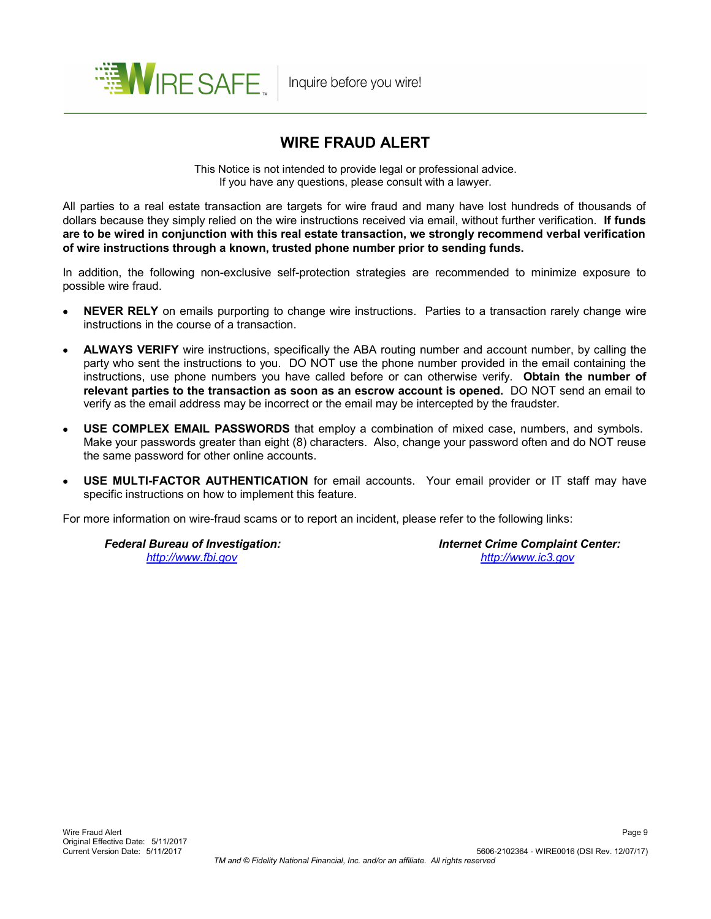

# **WIRE FRAUD ALERT**

This Notice is not intended to provide legal or professional advice. If you have any questions, please consult with a lawyer.

All parties to a real estate transaction are targets for wire fraud and many have lost hundreds of thousands of dollars because they simply relied on the wire instructions received via email, without further verification. **If funds are to be wired in conjunction with this real estate transaction, we strongly recommend verbal verification of wire instructions through a known, trusted phone number prior to sending funds.**

In addition, the following non-exclusive self-protection strategies are recommended to minimize exposure to possible wire fraud.

- **NEVER RELY** on emails purporting to change wire instructions. Parties to a transaction rarely change wire instructions in the course of a transaction.
- **ALWAYS VERIFY** wire instructions, specifically the ABA routing number and account number, by calling the party who sent the instructions to you. DO NOT use the phone number provided in the email containing the instructions, use phone numbers you have called before or can otherwise verify. **Obtain the number of relevant parties to the transaction as soon as an escrow account is opened.** DO NOT send an email to verify as the email address may be incorrect or the email may be intercepted by the fraudster.
- **USE COMPLEX EMAIL PASSWORDS** that employ a combination of mixed case, numbers, and symbols. Make your passwords greater than eight (8) characters. Also, change your password often and do NOT reuse the same password for other online accounts.
- **USE MULTI-FACTOR AUTHENTICATION** for email accounts. Your email provider or IT staff may have specific instructions on how to implement this feature.

For more information on wire-fraud scams or to report an incident, please refer to the following links:

 *Federal Bureau of Investigation: Internet Crime Complaint Center: <http://www.fbi.gov> <http://www.ic3.gov>*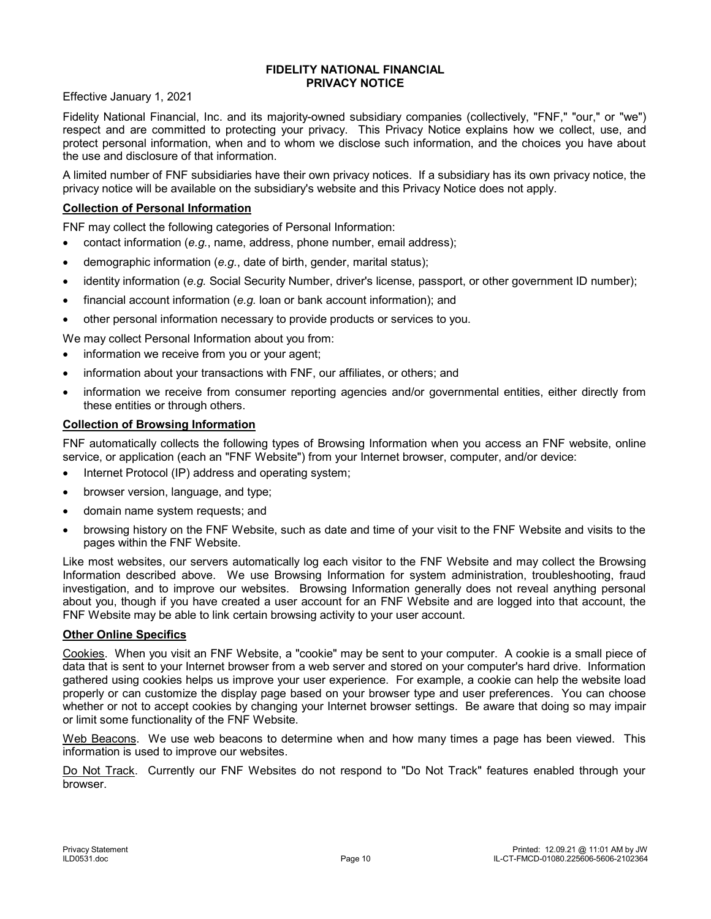### **FIDELITY NATIONAL FINANCIAL PRIVACY NOTICE**

Effective January 1, 2021

Fidelity National Financial, Inc. and its majority-owned subsidiary companies (collectively, "FNF," "our," or "we") respect and are committed to protecting your privacy. This Privacy Notice explains how we collect, use, and protect personal information, when and to whom we disclose such information, and the choices you have about the use and disclosure of that information.

A limited number of FNF subsidiaries have their own privacy notices. If a subsidiary has its own privacy notice, the privacy notice will be available on the subsidiary's website and this Privacy Notice does not apply.

# **Collection of Personal Information**

FNF may collect the following categories of Personal Information:

- contact information (*e.g.*, name, address, phone number, email address);
- demographic information (*e.g.*, date of birth, gender, marital status);
- identity information (*e.g.* Social Security Number, driver's license, passport, or other government ID number);
- financial account information (*e.g.* loan or bank account information); and
- other personal information necessary to provide products or services to you.

We may collect Personal Information about you from:

- information we receive from you or your agent;
- information about your transactions with FNF, our affiliates, or others; and
- information we receive from consumer reporting agencies and/or governmental entities, either directly from these entities or through others.

# **Collection of Browsing Information**

FNF automatically collects the following types of Browsing Information when you access an FNF website, online service, or application (each an "FNF Website") from your Internet browser, computer, and/or device:

- Internet Protocol (IP) address and operating system;
- browser version, language, and type;
- domain name system requests; and
- browsing history on the FNF Website, such as date and time of your visit to the FNF Website and visits to the pages within the FNF Website.

Like most websites, our servers automatically log each visitor to the FNF Website and may collect the Browsing Information described above. We use Browsing Information for system administration, troubleshooting, fraud investigation, and to improve our websites. Browsing Information generally does not reveal anything personal about you, though if you have created a user account for an FNF Website and are logged into that account, the FNF Website may be able to link certain browsing activity to your user account.

### **Other Online Specifics**

Cookies. When you visit an FNF Website, a "cookie" may be sent to your computer. A cookie is a small piece of data that is sent to your Internet browser from a web server and stored on your computer's hard drive. Information gathered using cookies helps us improve your user experience. For example, a cookie can help the website load properly or can customize the display page based on your browser type and user preferences. You can choose whether or not to accept cookies by changing your Internet browser settings. Be aware that doing so may impair or limit some functionality of the FNF Website.

Web Beacons. We use web beacons to determine when and how many times a page has been viewed. This information is used to improve our websites.

Do Not Track. Currently our FNF Websites do not respond to "Do Not Track" features enabled through your browser.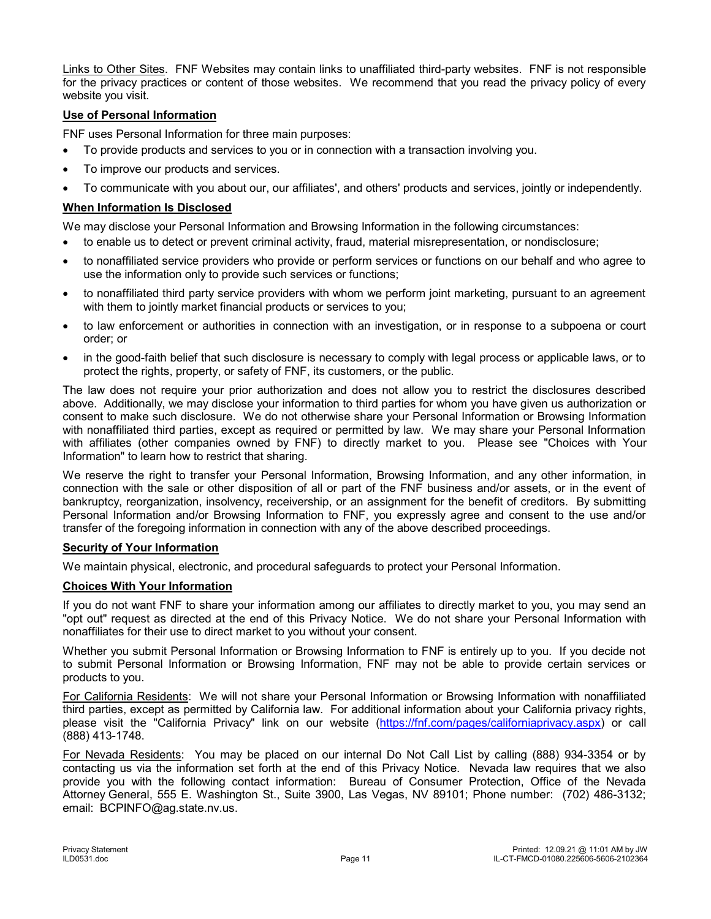Links to Other Sites. FNF Websites may contain links to unaffiliated third-party websites. FNF is not responsible for the privacy practices or content of those websites. We recommend that you read the privacy policy of every website you visit.

# **Use of Personal Information**

FNF uses Personal Information for three main purposes:

- To provide products and services to you or in connection with a transaction involving you.
- To improve our products and services.
- To communicate with you about our, our affiliates', and others' products and services, jointly or independently.

# **When Information Is Disclosed**

We may disclose your Personal Information and Browsing Information in the following circumstances:

- to enable us to detect or prevent criminal activity, fraud, material misrepresentation, or nondisclosure;
- to nonaffiliated service providers who provide or perform services or functions on our behalf and who agree to use the information only to provide such services or functions;
- to nonaffiliated third party service providers with whom we perform joint marketing, pursuant to an agreement with them to jointly market financial products or services to you;
- to law enforcement or authorities in connection with an investigation, or in response to a subpoena or court order; or
- in the good-faith belief that such disclosure is necessary to comply with legal process or applicable laws, or to protect the rights, property, or safety of FNF, its customers, or the public.

The law does not require your prior authorization and does not allow you to restrict the disclosures described above. Additionally, we may disclose your information to third parties for whom you have given us authorization or consent to make such disclosure. We do not otherwise share your Personal Information or Browsing Information with nonaffiliated third parties, except as required or permitted by law. We may share your Personal Information with affiliates (other companies owned by FNF) to directly market to you. Please see "Choices with Your Information" to learn how to restrict that sharing.

We reserve the right to transfer your Personal Information, Browsing Information, and any other information, in connection with the sale or other disposition of all or part of the FNF business and/or assets, or in the event of bankruptcy, reorganization, insolvency, receivership, or an assignment for the benefit of creditors. By submitting Personal Information and/or Browsing Information to FNF, you expressly agree and consent to the use and/or transfer of the foregoing information in connection with any of the above described proceedings.

### **Security of Your Information**

We maintain physical, electronic, and procedural safeguards to protect your Personal Information.

### **Choices With Your Information**

If you do not want FNF to share your information among our affiliates to directly market to you, you may send an "opt out" request as directed at the end of this Privacy Notice. We do not share your Personal Information with nonaffiliates for their use to direct market to you without your consent.

Whether you submit Personal Information or Browsing Information to FNF is entirely up to you. If you decide not to submit Personal Information or Browsing Information, FNF may not be able to provide certain services or products to you.

For California Residents: We will not share your Personal Information or Browsing Information with nonaffiliated third parties, except as permitted by California law. For additional information about your California privacy rights, please visit the "California Privacy" link on our website [\(https://fnf.com/pages/californiaprivacy.aspx](https://fnf.com/pages/californiaprivacy.aspx)) or call (888) 413-1748.

For Nevada Residents: You may be placed on our internal Do Not Call List by calling (888) 934-3354 or by contacting us via the information set forth at the end of this Privacy Notice. Nevada law requires that we also provide you with the following contact information: Bureau of Consumer Protection, Office of the Nevada Attorney General, 555 E. Washington St., Suite 3900, Las Vegas, NV 89101; Phone number: (702) 486-3132; email: BCPINFO@ag.state.nv.us.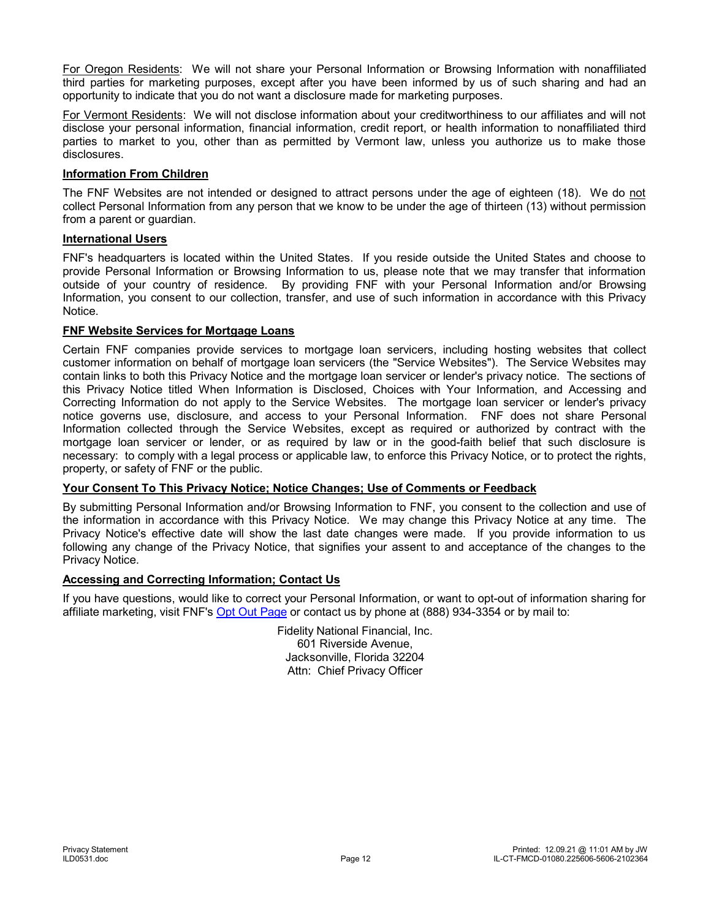For Oregon Residents: We will not share your Personal Information or Browsing Information with nonaffiliated third parties for marketing purposes, except after you have been informed by us of such sharing and had an opportunity to indicate that you do not want a disclosure made for marketing purposes.

For Vermont Residents: We will not disclose information about your creditworthiness to our affiliates and will not disclose your personal information, financial information, credit report, or health information to nonaffiliated third parties to market to you, other than as permitted by Vermont law, unless you authorize us to make those disclosures.

# **Information From Children**

The FNF Websites are not intended or designed to attract persons under the age of eighteen (18). We do not collect Personal Information from any person that we know to be under the age of thirteen (13) without permission from a parent or guardian.

# **International Users**

FNF's headquarters is located within the United States. If you reside outside the United States and choose to provide Personal Information or Browsing Information to us, please note that we may transfer that information outside of your country of residence. By providing FNF with your Personal Information and/or Browsing Information, you consent to our collection, transfer, and use of such information in accordance with this Privacy Notice.

# **FNF Website Services for Mortgage Loans**

Certain FNF companies provide services to mortgage loan servicers, including hosting websites that collect customer information on behalf of mortgage loan servicers (the "Service Websites"). The Service Websites may contain links to both this Privacy Notice and the mortgage loan servicer or lender's privacy notice. The sections of this Privacy Notice titled When Information is Disclosed, Choices with Your Information, and Accessing and Correcting Information do not apply to the Service Websites. The mortgage loan servicer or lender's privacy notice governs use, disclosure, and access to your Personal Information. FNF does not share Personal Information collected through the Service Websites, except as required or authorized by contract with the mortgage loan servicer or lender, or as required by law or in the good-faith belief that such disclosure is necessary: to comply with a legal process or applicable law, to enforce this Privacy Notice, or to protect the rights, property, or safety of FNF or the public.

# **Your Consent To This Privacy Notice; Notice Changes; Use of Comments or Feedback**

By submitting Personal Information and/or Browsing Information to FNF, you consent to the collection and use of the information in accordance with this Privacy Notice. We may change this Privacy Notice at any time. The Privacy Notice's effective date will show the last date changes were made. If you provide information to us following any change of the Privacy Notice, that signifies your assent to and acceptance of the changes to the Privacy Notice.

### **Accessing and Correcting Information; Contact Us**

If you have questions, would like to correct your Personal Information, or want to opt-out of information sharing for affiliate marketing, visit FNF's [Opt Out Page](https://privacyportal.onetrust.com/webform/aa4c6ea2-82de-4ea3-b17d-9d1616eb2a19/ec2647c9-e34e-4730-81e2-636b1fda0269) or contact us by phone at (888) 934-3354 or by mail to:

> Fidelity National Financial, Inc. 601 Riverside Avenue, Jacksonville, Florida 32204 Attn: Chief Privacy Officer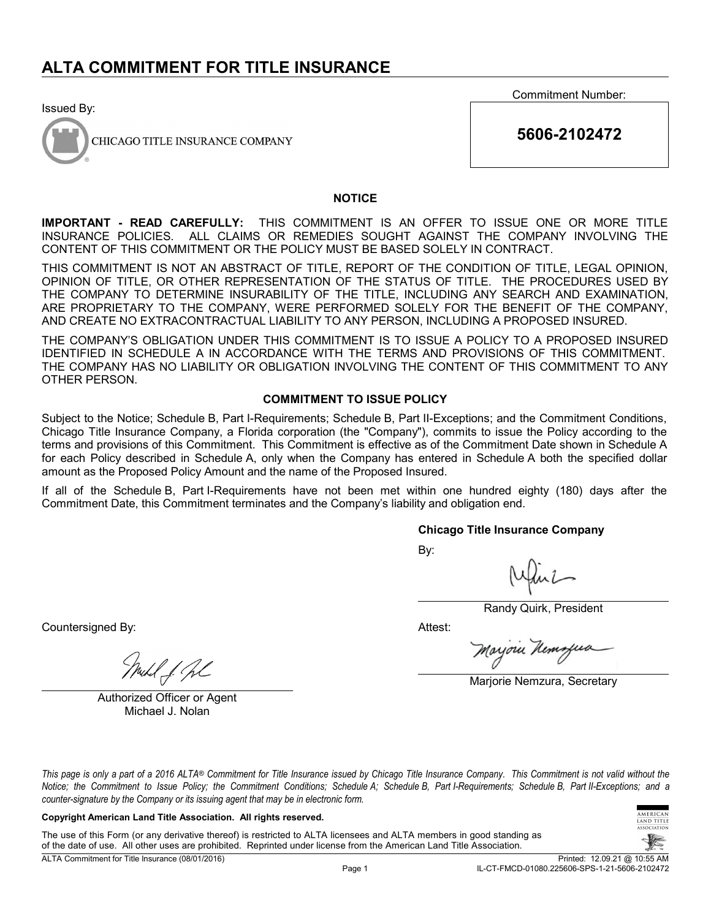Issued By:



CHICAGO TITLE INSURANCE COMPANY

Commitment Number:

**5606-2102472**

### **NOTICE**

**IMPORTANT - READ CAREFULLY:** THIS COMMITMENT IS AN OFFER TO ISSUE ONE OR MORE TITLE INSURANCE POLICIES. ALL CLAIMS OR REMEDIES SOUGHT AGAINST THE COMPANY INVOLVING THE CONTENT OF THIS COMMITMENT OR THE POLICY MUST BE BASED SOLELY IN CONTRACT.

THIS COMMITMENT IS NOT AN ABSTRACT OF TITLE, REPORT OF THE CONDITION OF TITLE, LEGAL OPINION, OPINION OF TITLE, OR OTHER REPRESENTATION OF THE STATUS OF TITLE. THE PROCEDURES USED BY THE COMPANY TO DETERMINE INSURABILITY OF THE TITLE, INCLUDING ANY SEARCH AND EXAMINATION, ARE PROPRIETARY TO THE COMPANY, WERE PERFORMED SOLELY FOR THE BENEFIT OF THE COMPANY, AND CREATE NO EXTRACONTRACTUAL LIABILITY TO ANY PERSON, INCLUDING A PROPOSED INSURED.

THE COMPANY'S OBLIGATION UNDER THIS COMMITMENT IS TO ISSUE A POLICY TO A PROPOSED INSURED IDENTIFIED IN SCHEDULE A IN ACCORDANCE WITH THE TERMS AND PROVISIONS OF THIS COMMITMENT. THE COMPANY HAS NO LIABILITY OR OBLIGATION INVOLVING THE CONTENT OF THIS COMMITMENT TO ANY OTHER PERSON.

### **COMMITMENT TO ISSUE POLICY**

Subject to the Notice; Schedule B, Part I-Requirements; Schedule B, Part II-Exceptions; and the Commitment Conditions, Chicago Title Insurance Company, a Florida corporation (the "Company"), commits to issue the Policy according to the terms and provisions of this Commitment. This Commitment is effective as of the Commitment Date shown in Schedule A for each Policy described in Schedule A, only when the Company has entered in Schedule A both the specified dollar amount as the Proposed Policy Amount and the name of the Proposed Insured.

If all of the Schedule B, Part I-Requirements have not been met within one hundred eighty (180) days after the Commitment Date, this Commitment terminates and the Company's liability and obligation end.

### **Chicago Title Insurance Company**

By:

Randy Quirk, President

Attest:

Moyoru Kemz

Marjorie Nemzura, Secretary

uhl f. fl

Countersigned By:

Authorized Officer or Agent Michael J. Nolan

*This page is only a part of a 2016 ALTA® Commitment for Title Insurance issued by Chicago Title Insurance Company. This Commitment is not valid without the Notice; the Commitment to Issue Policy; the Commitment Conditions; Schedule A; Schedule B, Part I-Requirements; Schedule B, Part II-Exceptions; and a counter-signature by the Company or its issuing agent that may be in electronic form.*

### **Copyright American Land Title Association. All rights reserved.**

The use of this Form (or any derivative thereof) is restricted to ALTA licensees and ALTA members in good standing as of the date of use. All other uses are prohibited. Reprinted under license from the American Land Title Association.

TITLE

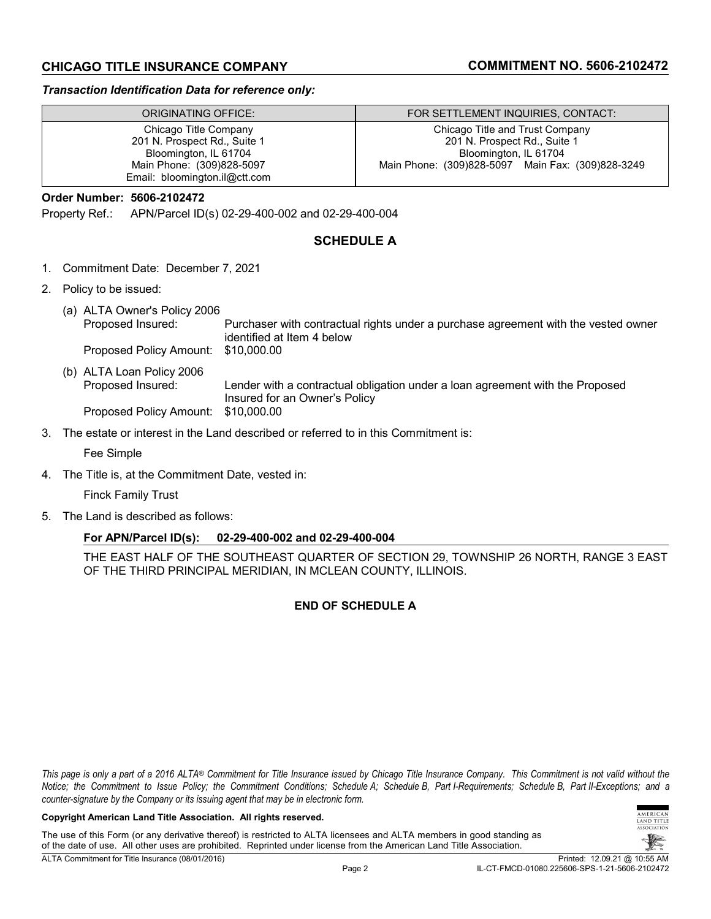# **CHICAGO TITLE INSURANCE COMPANY COMMITMENT NO. 5606-2102472**

### *Transaction Identification Data for reference only:*

| ORIGINATING OFFICE:           | FOR SETTLEMENT INQUIRIES, CONTACT:                |
|-------------------------------|---------------------------------------------------|
| Chicago Title Company         | Chicago Title and Trust Company                   |
| 201 N. Prospect Rd., Suite 1  | 201 N. Prospect Rd., Suite 1                      |
| Bloomington, IL 61704         | Bloomington, IL 61704                             |
| Main Phone: (309)828-5097     | Main Phone: (309)828-5097 Main Fax: (309)828-3249 |
| Email: bloomington.il@ctt.com |                                                   |

### **Order Number: 5606-2102472**

Property Ref.: APN/Parcel ID(s) 02-29-400-002 and 02-29-400-004

# **SCHEDULE A**

- 1. Commitment Date: December 7, 2021
- 2. Policy to be issued:
	- (a) ALTA Owner's Policy 2006 Proposed Insured: Purchaser with contractual rights under a purchase agreement with the vested owner identified at Item 4 below<br>\$10,000.00 Proposed Policy Amount:
	- (b) ALTA Loan Policy 2006 Proposed Insured: Lender with a contractual obligation under a loan agreement with the Proposed Insured for an Owner's Policy Proposed Policy Amount: \$10,000.00
- 3. The estate or interest in the Land described or referred to in this Commitment is:

Fee Simple

4. The Title is, at the Commitment Date, vested in:

Finck Family Trust

5. The Land is described as follows:

### **For APN/Parcel ID(s): 02-29-400-002 and 02-29-400-004**

THE EAST HALF OF THE SOUTHEAST QUARTER OF SECTION 29, TOWNSHIP 26 NORTH, RANGE 3 EAST OF THE THIRD PRINCIPAL MERIDIAN, IN MCLEAN COUNTY, ILLINOIS.

# **END OF SCHEDULE A**

*This page is only a part of a 2016 ALTA® Commitment for Title Insurance issued by Chicago Title Insurance Company. This Commitment is not valid without the Notice; the Commitment to Issue Policy; the Commitment Conditions; Schedule A; Schedule B, Part I-Requirements; Schedule B, Part II-Exceptions; and a counter-signature by the Company or its issuing agent that may be in electronic form.*

### **Copyright American Land Title Association. All rights reserved.**

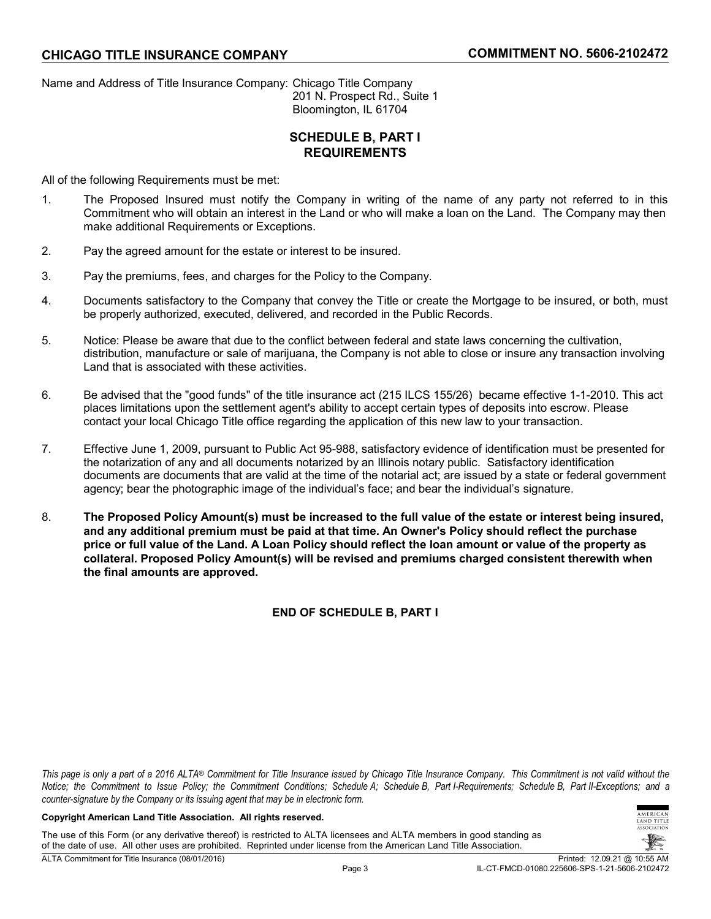Name and Address of Title Insurance Company: Chicago Title Company 201 N. Prospect Rd., Suite 1 Bloomington, IL 61704

# **SCHEDULE B, PART I REQUIREMENTS**

All of the following Requirements must be met:

- 1. The Proposed Insured must notify the Company in writing of the name of any party not referred to in this Commitment who will obtain an interest in the Land or who will make a loan on the Land. The Company may then make additional Requirements or Exceptions.
- 2. Pay the agreed amount for the estate or interest to be insured.
- 3. Pay the premiums, fees, and charges for the Policy to the Company.
- 4. Documents satisfactory to the Company that convey the Title or create the Mortgage to be insured, or both, must be properly authorized, executed, delivered, and recorded in the Public Records.
- 5. Notice: Please be aware that due to the conflict between federal and state laws concerning the cultivation, distribution, manufacture or sale of marijuana, the Company is not able to close or insure any transaction involving Land that is associated with these activities.
- 6. Be advised that the "good funds" of the title insurance act (215 ILCS 155/26) became effective 1-1-2010. This act places limitations upon the settlement agent's ability to accept certain types of deposits into escrow. Please contact your local Chicago Title office regarding the application of this new law to your transaction.
- 7. Effective June 1, 2009, pursuant to Public Act 95-988, satisfactory evidence of identification must be presented for the notarization of any and all documents notarized by an Illinois notary public. Satisfactory identification documents are documents that are valid at the time of the notarial act; are issued by a state or federal government agency; bear the photographic image of the individual's face; and bear the individual's signature.
- 8. **The Proposed Policy Amount(s) must be increased to the full value of the estate or interest being insured, and any additional premium must be paid at that time. An Owner's Policy should reflect the purchase price or full value of the Land. A Loan Policy should reflect the loan amount or value of the property as collateral. Proposed Policy Amount(s) will be revised and premiums charged consistent therewith when the final amounts are approved.**

**END OF SCHEDULE B, PART I**

*This page is only a part of a 2016 ALTA® Commitment for Title Insurance issued by Chicago Title Insurance Company. This Commitment is not valid without the Notice; the Commitment to Issue Policy; the Commitment Conditions; Schedule A; Schedule B, Part I-Requirements; Schedule B, Part II-Exceptions; and a counter-signature by the Company or its issuing agent that may be in electronic form.*

### **Copyright American Land Title Association. All rights reserved.**

The use of this Form (or any derivative thereof) is restricted to ALTA licensees and ALTA members in good standing as of the date of use. All other uses are prohibited. Reprinted under license from the American Land Title Association.

TITLE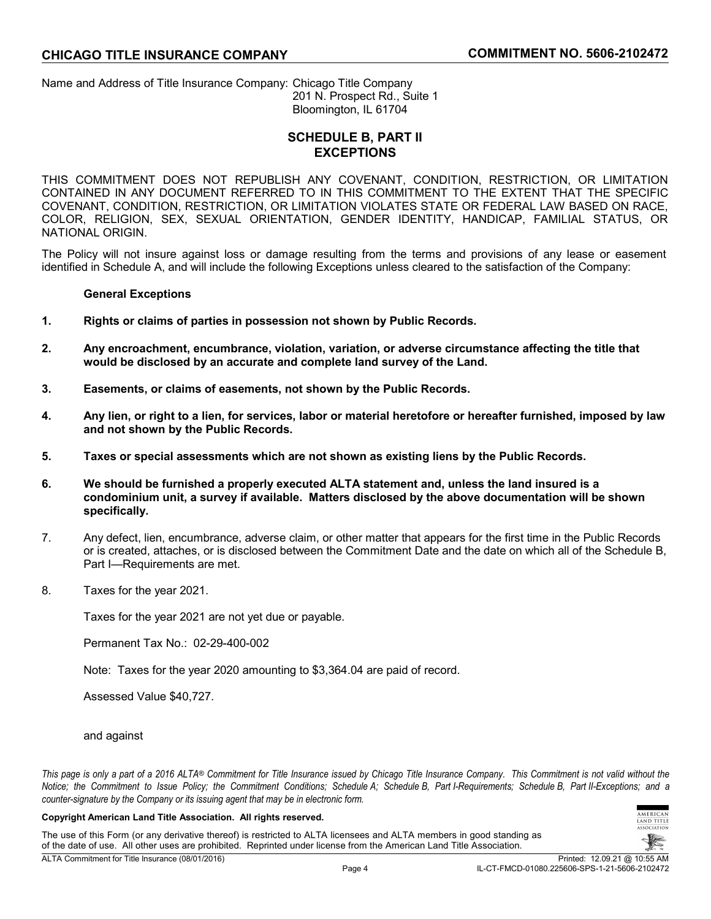Name and Address of Title Insurance Company: Chicago Title Company 201 N. Prospect Rd., Suite 1 Bloomington, IL 61704

# **SCHEDULE B, PART II EXCEPTIONS**

THIS COMMITMENT DOES NOT REPUBLISH ANY COVENANT, CONDITION, RESTRICTION, OR LIMITATION CONTAINED IN ANY DOCUMENT REFERRED TO IN THIS COMMITMENT TO THE EXTENT THAT THE SPECIFIC COVENANT, CONDITION, RESTRICTION, OR LIMITATION VIOLATES STATE OR FEDERAL LAW BASED ON RACE, COLOR, RELIGION, SEX, SEXUAL ORIENTATION, GENDER IDENTITY, HANDICAP, FAMILIAL STATUS, OR NATIONAL ORIGIN.

The Policy will not insure against loss or damage resulting from the terms and provisions of any lease or easement identified in Schedule A, and will include the following Exceptions unless cleared to the satisfaction of the Company:

# **General Exceptions**

- **1. Rights or claims of parties in possession not shown by Public Records.**
- **2. Any encroachment, encumbrance, violation, variation, or adverse circumstance affecting the title that would be disclosed by an accurate and complete land survey of the Land.**
- **3. Easements, or claims of easements, not shown by the Public Records.**
- **4. Any lien, or right to a lien, for services, labor or material heretofore or hereafter furnished, imposed by law and not shown by the Public Records.**
- **5. Taxes or special assessments which are not shown as existing liens by the Public Records.**
- **6. We should be furnished a properly executed ALTA statement and, unless the land insured is a condominium unit, a survey if available. Matters disclosed by the above documentation will be shown specifically.**
- 7. Any defect, lien, encumbrance, adverse claim, or other matter that appears for the first time in the Public Records or is created, attaches, or is disclosed between the Commitment Date and the date on which all of the Schedule B, Part I—Requirements are met.
- 8. Taxes for the year 2021.

Taxes for the year 2021 are not yet due or payable.

Permanent Tax No.: 02-29-400-002

Note: Taxes for the year 2020 amounting to \$3,364.04 are paid of record.

Assessed Value \$40,727.

### and against

*This page is only a part of a 2016 ALTA® Commitment for Title Insurance issued by Chicago Title Insurance Company. This Commitment is not valid without the Notice; the Commitment to Issue Policy; the Commitment Conditions; Schedule A; Schedule B, Part I-Requirements; Schedule B, Part II-Exceptions; and a counter-signature by the Company or its issuing agent that may be in electronic form.*

### **Copyright American Land Title Association. All rights reserved.**

The use of this Form (or any derivative thereof) is restricted to ALTA licensees and ALTA members in good standing as of the date of use. All other uses are prohibited. Reprinted under license from the American Land Title Association.



**MERICAN** AND TITLE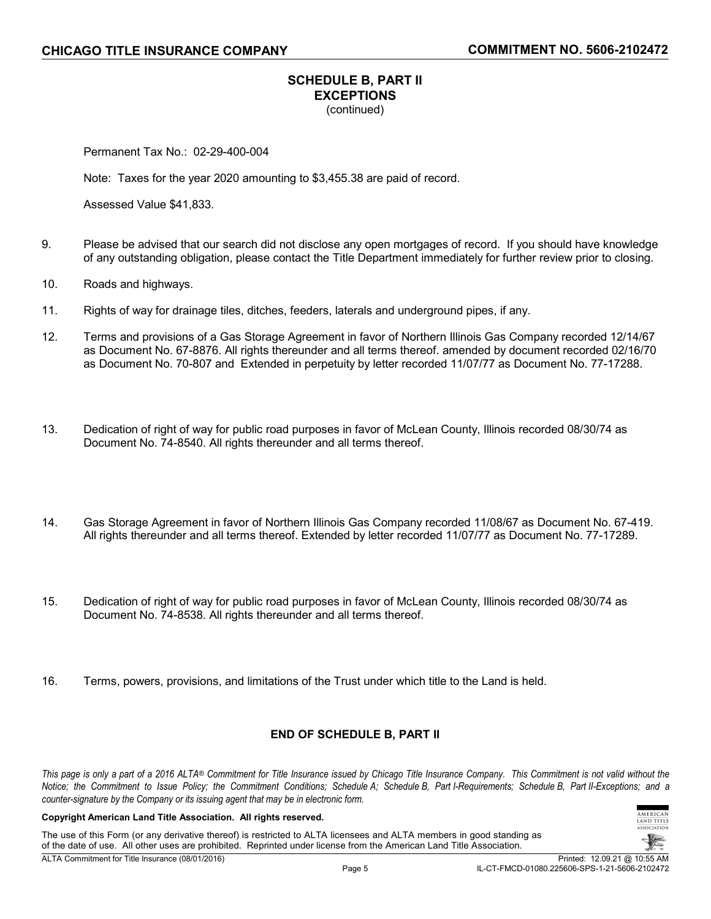# **SCHEDULE B, PART II EXCEPTIONS** (continued)

Permanent Tax No.: 02-29-400-004

Note: Taxes for the year 2020 amounting to \$3,455.38 are paid of record.

Assessed Value \$41,833.

- 9. Please be advised that our search did not disclose any open mortgages of record. If you should have knowledge of any outstanding obligation, please contact the Title Department immediately for further review prior to closing.
- 10. Roads and highways.
- 11. Rights of way for drainage tiles, ditches, feeders, laterals and underground pipes, if any.
- 12. Terms and provisions of a Gas Storage Agreement in favor of Northern Illinois Gas Company recorded 12/14/67 as Document No. 67-8876. All rights thereunder and all terms thereof. amended by document recorded 02/16/70 as Document No. 70-807 and Extended in perpetuity by letter recorded 11/07/77 as Document No. 77-17288.
- 13. Dedication of right of way for public road purposes in favor of McLean County, Illinois recorded 08/30/74 as Document No. 74-8540. All rights thereunder and all terms thereof.
- 14. Gas Storage Agreement in favor of Northern Illinois Gas Company recorded 11/08/67 as Document No. 67-419. All rights thereunder and all terms thereof. Extended by letter recorded 11/07/77 as Document No. 77-17289.
- 15. Dedication of right of way for public road purposes in favor of McLean County, Illinois recorded 08/30/74 as Document No. 74-8538. All rights thereunder and all terms thereof.
- 16. Terms, powers, provisions, and limitations of the Trust under which title to the Land is held.

### **END OF SCHEDULE B, PART II**

*This page is only a part of a 2016 ALTA® Commitment for Title Insurance issued by Chicago Title Insurance Company. This Commitment is not valid without the Notice; the Commitment to Issue Policy; the Commitment Conditions; Schedule A; Schedule B, Part I-Requirements; Schedule B, Part II-Exceptions; and a counter-signature by the Company or its issuing agent that may be in electronic form.*

### **Copyright American Land Title Association. All rights reserved.**

The use of this Form (or any derivative thereof) is restricted to ALTA licensees and ALTA members in good standing as of the date of use. All other uses are prohibited. Reprinted under license from the American Land Title Association.

TITLE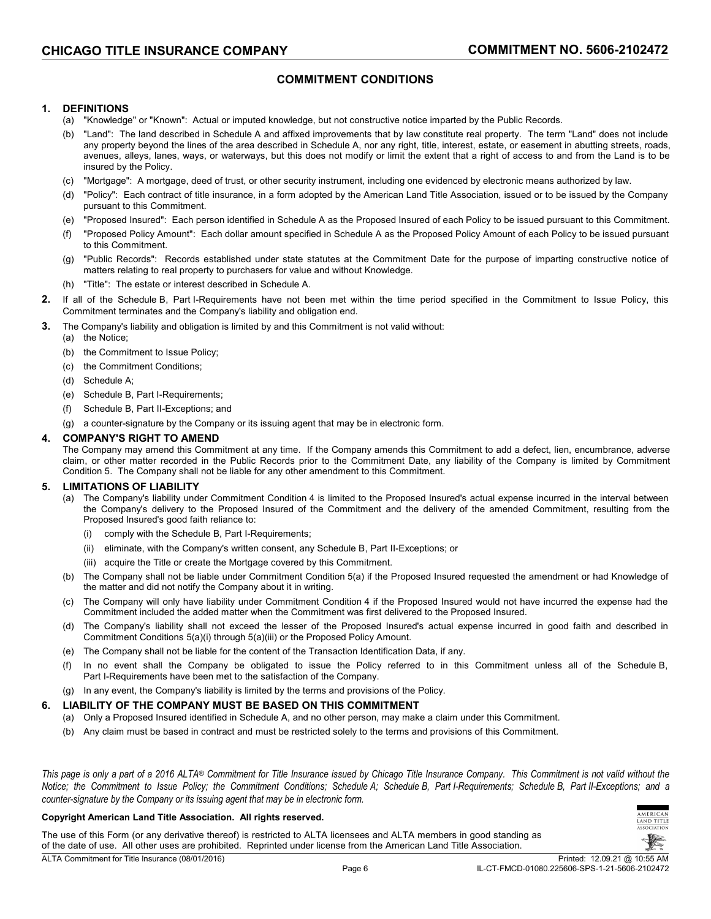# **COMMITMENT CONDITIONS**

### **1. DEFINITIONS**

- (a) "Knowledge" or "Known": Actual or imputed knowledge, but not constructive notice imparted by the Public Records.
- (b) "Land": The land described in Schedule A and affixed improvements that by law constitute real property. The term "Land" does not include any property beyond the lines of the area described in Schedule A, nor any right, title, interest, estate, or easement in abutting streets, roads, avenues, alleys, lanes, ways, or waterways, but this does not modify or limit the extent that a right of access to and from the Land is to be insured by the Policy.
- (c) "Mortgage": A mortgage, deed of trust, or other security instrument, including one evidenced by electronic means authorized by law.
- (d) "Policy": Each contract of title insurance, in a form adopted by the American Land Title Association, issued or to be issued by the Company pursuant to this Commitment.
- (e) "Proposed Insured": Each person identified in Schedule A as the Proposed Insured of each Policy to be issued pursuant to this Commitment.
- (f) "Proposed Policy Amount": Each dollar amount specified in Schedule A as the Proposed Policy Amount of each Policy to be issued pursuant to this Commitment.
- (g) "Public Records": Records established under state statutes at the Commitment Date for the purpose of imparting constructive notice of matters relating to real property to purchasers for value and without Knowledge.
- (h) "Title": The estate or interest described in Schedule A.
- **2.** If all of the Schedule B, Part I-Requirements have not been met within the time period specified in the Commitment to Issue Policy, this Commitment terminates and the Company's liability and obligation end.
- **3.** The Company's liability and obligation is limited by and this Commitment is not valid without:
- (a) the Notice;
	- (b) the Commitment to Issue Policy;
	- (c) the Commitment Conditions;
	- (d) Schedule A;
	- (e) Schedule B, Part I-Requirements;
	- (f) Schedule B, Part II-Exceptions; and
	- (g) a counter-signature by the Company or its issuing agent that may be in electronic form.

### **4. COMPANY'S RIGHT TO AMEND**

The Company may amend this Commitment at any time. If the Company amends this Commitment to add a defect, lien, encumbrance, adverse claim, or other matter recorded in the Public Records prior to the Commitment Date, any liability of the Company is limited by Commitment Condition 5. The Company shall not be liable for any other amendment to this Commitment.

### **5. LIMITATIONS OF LIABILITY**

- (a) The Company's liability under Commitment Condition 4 is limited to the Proposed Insured's actual expense incurred in the interval between the Company's delivery to the Proposed Insured of the Commitment and the delivery of the amended Commitment, resulting from the Proposed Insured's good faith reliance to:
	- (i) comply with the Schedule B, Part I-Requirements;
	- (ii) eliminate, with the Company's written consent, any Schedule B, Part II-Exceptions; or
	- (iii) acquire the Title or create the Mortgage covered by this Commitment.
- (b) The Company shall not be liable under Commitment Condition 5(a) if the Proposed Insured requested the amendment or had Knowledge of the matter and did not notify the Company about it in writing.
- (c) The Company will only have liability under Commitment Condition 4 if the Proposed Insured would not have incurred the expense had the Commitment included the added matter when the Commitment was first delivered to the Proposed Insured.
- (d) The Company's liability shall not exceed the lesser of the Proposed Insured's actual expense incurred in good faith and described in Commitment Conditions 5(a)(i) through 5(a)(iii) or the Proposed Policy Amount.
- (e) The Company shall not be liable for the content of the Transaction Identification Data, if any.
- (f) In no event shall the Company be obligated to issue the Policy referred to in this Commitment unless all of the Schedule B, Part I-Requirements have been met to the satisfaction of the Company.
- (g) In any event, the Company's liability is limited by the terms and provisions of the Policy.

### **6. LIABILITY OF THE COMPANY MUST BE BASED ON THIS COMMITMENT**

- (a) Only a Proposed Insured identified in Schedule A, and no other person, may make a claim under this Commitment.
- (b) Any claim must be based in contract and must be restricted solely to the terms and provisions of this Commitment.

*This page is only a part of a 2016 ALTA® Commitment for Title Insurance issued by Chicago Title Insurance Company. This Commitment is not valid without the Notice; the Commitment to Issue Policy; the Commitment Conditions; Schedule A; Schedule B, Part I-Requirements; Schedule B, Part II-Exceptions; and a counter-signature by the Company or its issuing agent that may be in electronic form.*

#### **Copyright American Land Title Association. All rights reserved.**

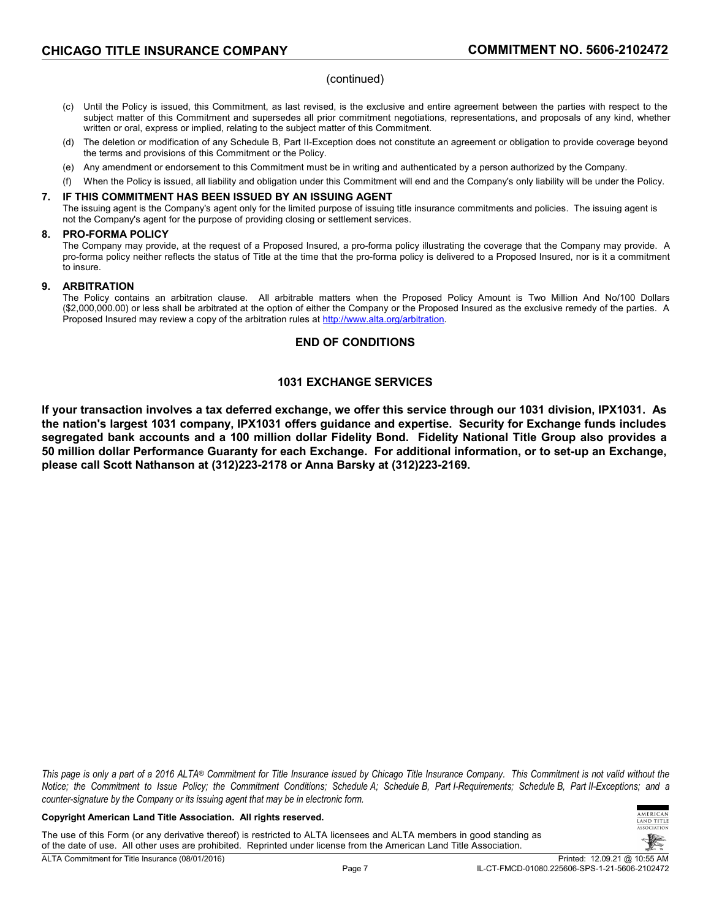### (continued)

- (c) Until the Policy is issued, this Commitment, as last revised, is the exclusive and entire agreement between the parties with respect to the subject matter of this Commitment and supersedes all prior commitment negotiations, representations, and proposals of any kind, whether written or oral, express or implied, relating to the subject matter of this Commitment.
- (d) The deletion or modification of any Schedule B, Part II-Exception does not constitute an agreement or obligation to provide coverage beyond the terms and provisions of this Commitment or the Policy.
- (e) Any amendment or endorsement to this Commitment must be in writing and authenticated by a person authorized by the Company.
- (f) When the Policy is issued, all liability and obligation under this Commitment will end and the Company's only liability will be under the Policy.

### **7. IF THIS COMMITMENT HAS BEEN ISSUED BY AN ISSUING AGENT**

The issuing agent is the Company's agent only for the limited purpose of issuing title insurance commitments and policies. The issuing agent is not the Company's agent for the purpose of providing closing or settlement services.

### **8. PRO-FORMA POLICY**

The Company may provide, at the request of a Proposed Insured, a pro-forma policy illustrating the coverage that the Company may provide. A pro-forma policy neither reflects the status of Title at the time that the pro-forma policy is delivered to a Proposed Insured, nor is it a commitment to insure.

### **9. ARBITRATION**

The Policy contains an arbitration clause. All arbitrable matters when the Proposed Policy Amount is Two Million And No/100 Dollars (\$2,000,000.00) or less shall be arbitrated at the option of either the Company or the Proposed Insured as the exclusive remedy of the parties. A Proposed Insured may review a copy of the arbitration rules at [http://www.alta.org/arbitration.](http://www.alta.org/arbitration)

### **END OF CONDITIONS**

# **1031 EXCHANGE SERVICES**

**If your transaction involves a tax deferred exchange, we offer this service through our 1031 division, IPX1031. As the nation's largest 1031 company, IPX1031 offers guidance and expertise. Security for Exchange funds includes segregated bank accounts and a 100 million dollar Fidelity Bond. Fidelity National Title Group also provides a 50 million dollar Performance Guaranty for each Exchange. For additional information, or to set-up an Exchange, please call Scott Nathanson at (312)223-2178 or Anna Barsky at (312)223-2169.**

*This page is only a part of a 2016 ALTA® Commitment for Title Insurance issued by Chicago Title Insurance Company. This Commitment is not valid without the Notice; the Commitment to Issue Policy; the Commitment Conditions; Schedule A; Schedule B, Part I-Requirements; Schedule B, Part II-Exceptions; and a counter-signature by the Company or its issuing agent that may be in electronic form.*

#### **Copyright American Land Title Association. All rights reserved.**

The use of this Form (or any derivative thereof) is restricted to ALTA licensees and ALTA members in good standing as of the date of use. All other uses are prohibited. Reprinted under license from the American Land Title Association.

 $MFDICA$ TITLE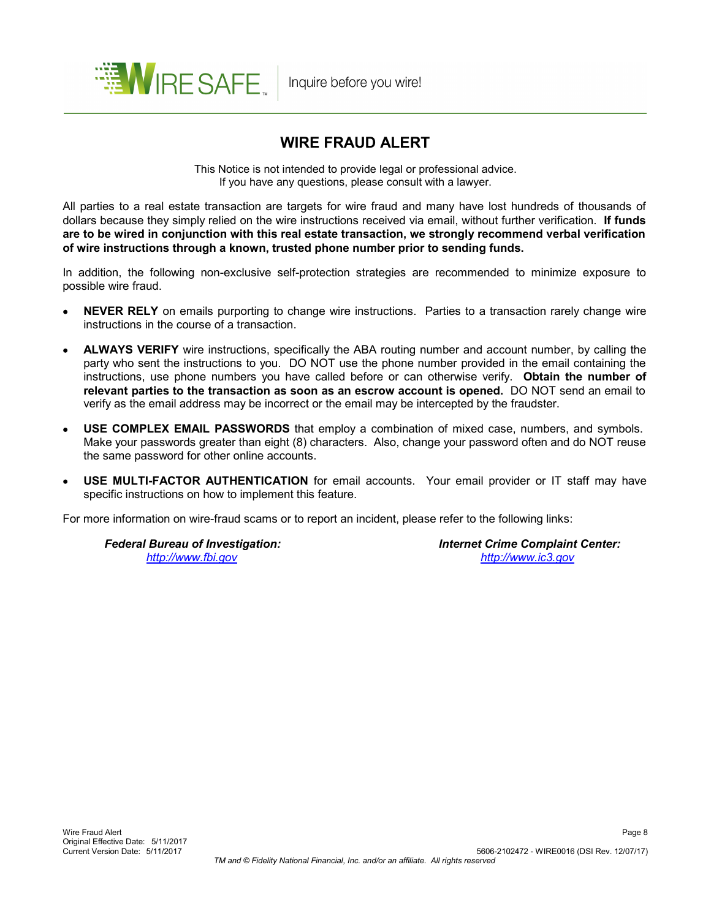

# **WIRE FRAUD ALERT**

This Notice is not intended to provide legal or professional advice. If you have any questions, please consult with a lawyer.

All parties to a real estate transaction are targets for wire fraud and many have lost hundreds of thousands of dollars because they simply relied on the wire instructions received via email, without further verification. **If funds are to be wired in conjunction with this real estate transaction, we strongly recommend verbal verification of wire instructions through a known, trusted phone number prior to sending funds.**

In addition, the following non-exclusive self-protection strategies are recommended to minimize exposure to possible wire fraud.

- **NEVER RELY** on emails purporting to change wire instructions. Parties to a transaction rarely change wire instructions in the course of a transaction.
- **ALWAYS VERIFY** wire instructions, specifically the ABA routing number and account number, by calling the party who sent the instructions to you. DO NOT use the phone number provided in the email containing the instructions, use phone numbers you have called before or can otherwise verify. **Obtain the number of relevant parties to the transaction as soon as an escrow account is opened.** DO NOT send an email to verify as the email address may be incorrect or the email may be intercepted by the fraudster.
- **USE COMPLEX EMAIL PASSWORDS** that employ a combination of mixed case, numbers, and symbols. Make your passwords greater than eight (8) characters. Also, change your password often and do NOT reuse the same password for other online accounts.
- **USE MULTI-FACTOR AUTHENTICATION** for email accounts. Your email provider or IT staff may have specific instructions on how to implement this feature.

For more information on wire-fraud scams or to report an incident, please refer to the following links:

 *Federal Bureau of Investigation: Internet Crime Complaint Center: <http://www.fbi.gov> <http://www.ic3.gov>*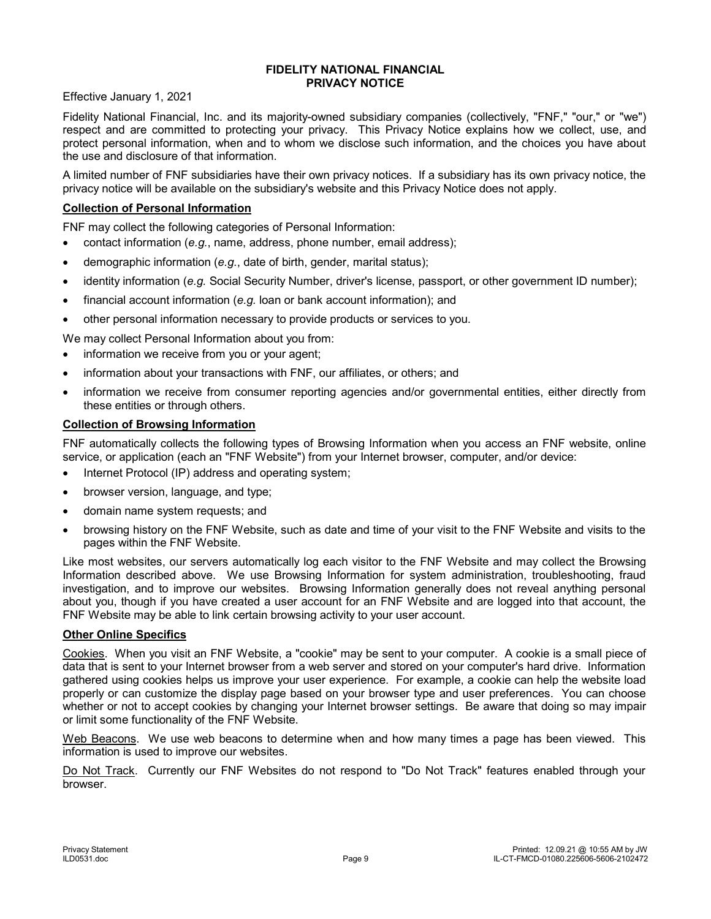### **FIDELITY NATIONAL FINANCIAL PRIVACY NOTICE**

Effective January 1, 2021

Fidelity National Financial, Inc. and its majority-owned subsidiary companies (collectively, "FNF," "our," or "we") respect and are committed to protecting your privacy. This Privacy Notice explains how we collect, use, and protect personal information, when and to whom we disclose such information, and the choices you have about the use and disclosure of that information.

A limited number of FNF subsidiaries have their own privacy notices. If a subsidiary has its own privacy notice, the privacy notice will be available on the subsidiary's website and this Privacy Notice does not apply.

# **Collection of Personal Information**

FNF may collect the following categories of Personal Information:

- contact information (*e.g.*, name, address, phone number, email address);
- demographic information (*e.g.*, date of birth, gender, marital status);
- identity information (*e.g.* Social Security Number, driver's license, passport, or other government ID number);
- financial account information (*e.g.* loan or bank account information); and
- other personal information necessary to provide products or services to you.

We may collect Personal Information about you from:

- information we receive from you or your agent;
- information about your transactions with FNF, our affiliates, or others; and
- information we receive from consumer reporting agencies and/or governmental entities, either directly from these entities or through others.

# **Collection of Browsing Information**

FNF automatically collects the following types of Browsing Information when you access an FNF website, online service, or application (each an "FNF Website") from your Internet browser, computer, and/or device:

- Internet Protocol (IP) address and operating system;
- browser version, language, and type;
- domain name system requests; and
- browsing history on the FNF Website, such as date and time of your visit to the FNF Website and visits to the pages within the FNF Website.

Like most websites, our servers automatically log each visitor to the FNF Website and may collect the Browsing Information described above. We use Browsing Information for system administration, troubleshooting, fraud investigation, and to improve our websites. Browsing Information generally does not reveal anything personal about you, though if you have created a user account for an FNF Website and are logged into that account, the FNF Website may be able to link certain browsing activity to your user account.

### **Other Online Specifics**

Cookies. When you visit an FNF Website, a "cookie" may be sent to your computer. A cookie is a small piece of data that is sent to your Internet browser from a web server and stored on your computer's hard drive. Information gathered using cookies helps us improve your user experience. For example, a cookie can help the website load properly or can customize the display page based on your browser type and user preferences. You can choose whether or not to accept cookies by changing your Internet browser settings. Be aware that doing so may impair or limit some functionality of the FNF Website.

Web Beacons. We use web beacons to determine when and how many times a page has been viewed. This information is used to improve our websites.

Do Not Track. Currently our FNF Websites do not respond to "Do Not Track" features enabled through your browser.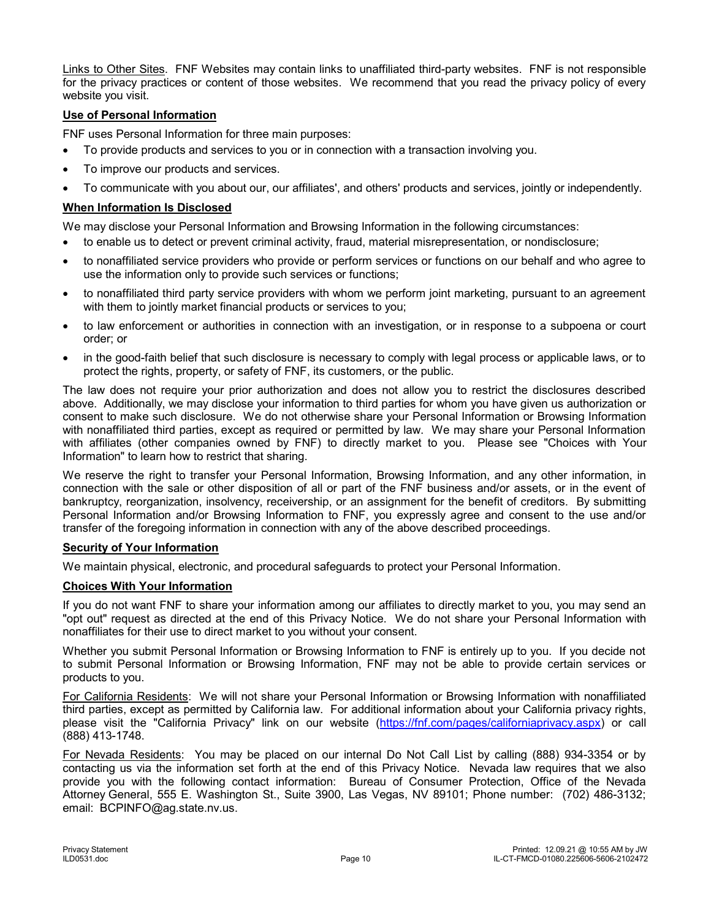Links to Other Sites. FNF Websites may contain links to unaffiliated third-party websites. FNF is not responsible for the privacy practices or content of those websites. We recommend that you read the privacy policy of every website you visit.

# **Use of Personal Information**

FNF uses Personal Information for three main purposes:

- To provide products and services to you or in connection with a transaction involving you.
- To improve our products and services.
- To communicate with you about our, our affiliates', and others' products and services, jointly or independently.

# **When Information Is Disclosed**

We may disclose your Personal Information and Browsing Information in the following circumstances:

- to enable us to detect or prevent criminal activity, fraud, material misrepresentation, or nondisclosure;
- to nonaffiliated service providers who provide or perform services or functions on our behalf and who agree to use the information only to provide such services or functions;
- to nonaffiliated third party service providers with whom we perform joint marketing, pursuant to an agreement with them to jointly market financial products or services to you;
- to law enforcement or authorities in connection with an investigation, or in response to a subpoena or court order; or
- in the good-faith belief that such disclosure is necessary to comply with legal process or applicable laws, or to protect the rights, property, or safety of FNF, its customers, or the public.

The law does not require your prior authorization and does not allow you to restrict the disclosures described above. Additionally, we may disclose your information to third parties for whom you have given us authorization or consent to make such disclosure. We do not otherwise share your Personal Information or Browsing Information with nonaffiliated third parties, except as required or permitted by law. We may share your Personal Information with affiliates (other companies owned by FNF) to directly market to you. Please see "Choices with Your Information" to learn how to restrict that sharing.

We reserve the right to transfer your Personal Information, Browsing Information, and any other information, in connection with the sale or other disposition of all or part of the FNF business and/or assets, or in the event of bankruptcy, reorganization, insolvency, receivership, or an assignment for the benefit of creditors. By submitting Personal Information and/or Browsing Information to FNF, you expressly agree and consent to the use and/or transfer of the foregoing information in connection with any of the above described proceedings.

### **Security of Your Information**

We maintain physical, electronic, and procedural safeguards to protect your Personal Information.

### **Choices With Your Information**

If you do not want FNF to share your information among our affiliates to directly market to you, you may send an "opt out" request as directed at the end of this Privacy Notice. We do not share your Personal Information with nonaffiliates for their use to direct market to you without your consent.

Whether you submit Personal Information or Browsing Information to FNF is entirely up to you. If you decide not to submit Personal Information or Browsing Information, FNF may not be able to provide certain services or products to you.

For California Residents: We will not share your Personal Information or Browsing Information with nonaffiliated third parties, except as permitted by California law. For additional information about your California privacy rights, please visit the "California Privacy" link on our website [\(https://fnf.com/pages/californiaprivacy.aspx](https://fnf.com/pages/californiaprivacy.aspx)) or call (888) 413-1748.

For Nevada Residents: You may be placed on our internal Do Not Call List by calling (888) 934-3354 or by contacting us via the information set forth at the end of this Privacy Notice. Nevada law requires that we also provide you with the following contact information: Bureau of Consumer Protection, Office of the Nevada Attorney General, 555 E. Washington St., Suite 3900, Las Vegas, NV 89101; Phone number: (702) 486-3132; email: BCPINFO@ag.state.nv.us.